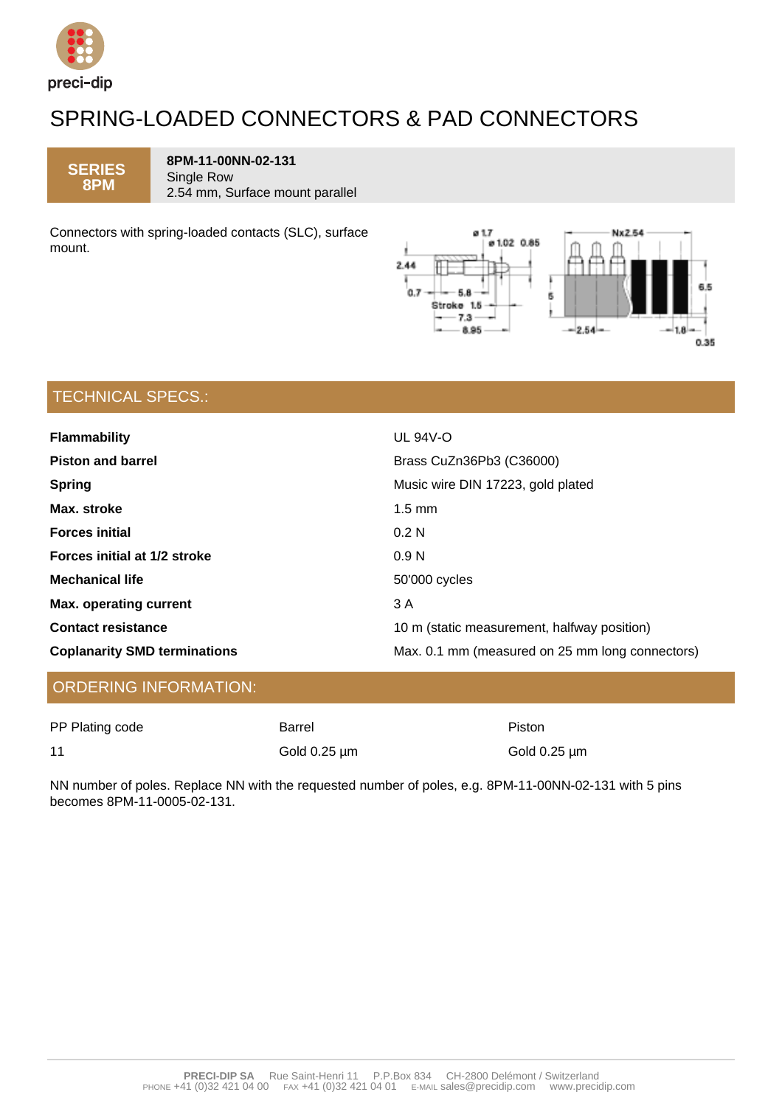

## SPRING-LOADED CONNECTORS & PAD CONNECTORS

**SERIES 8PM**

**8PM-11-00NN-02-131** Single Row 2.54 mm, Surface mount parallel

Connectors with spring-loaded contacts (SLC), surface mount.



## TECHNICAL SPECS.:

| <b>Flammability</b>                 | <b>UL 94V-O</b>                                 |  |
|-------------------------------------|-------------------------------------------------|--|
| <b>Piston and barrel</b>            | Brass CuZn36Pb3 (C36000)                        |  |
| <b>Spring</b>                       | Music wire DIN 17223, gold plated               |  |
| Max. stroke                         | $1.5 \text{ mm}$                                |  |
| <b>Forces initial</b>               | 0.2 <sub>N</sub>                                |  |
| Forces initial at 1/2 stroke        | 0.9 <sub>N</sub>                                |  |
| <b>Mechanical life</b>              | 50'000 cycles                                   |  |
| <b>Max. operating current</b>       | 3 A                                             |  |
| <b>Contact resistance</b>           | 10 m (static measurement, halfway position)     |  |
| <b>Coplanarity SMD terminations</b> | Max. 0.1 mm (measured on 25 mm long connectors) |  |

### ORDERING INFORMATION:

| PP Plating code | Barrel            | Piston            |
|-----------------|-------------------|-------------------|
| 11              | Gold $0.25 \mu m$ | Gold $0.25 \mu m$ |

NN number of poles. Replace NN with the requested number of poles, e.g. 8PM-11-00NN-02-131 with 5 pins becomes 8PM-11-0005-02-131.